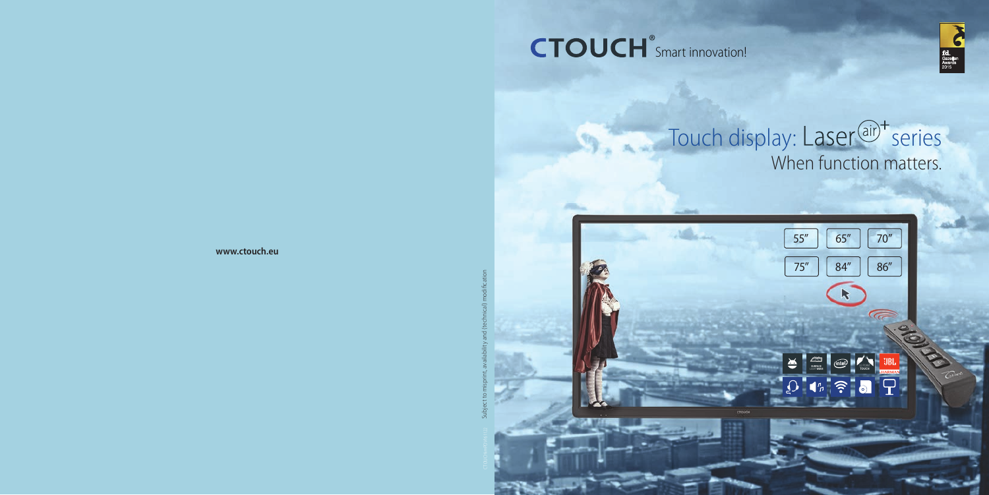# Touch display: Laser<sup>(air)+</sup> series When function matters.



# CTOUCH<sup>®</sup>Smart innovation!



CTOUCHimPDV161122 Subject to misprint, availability and (technical) modifi cation